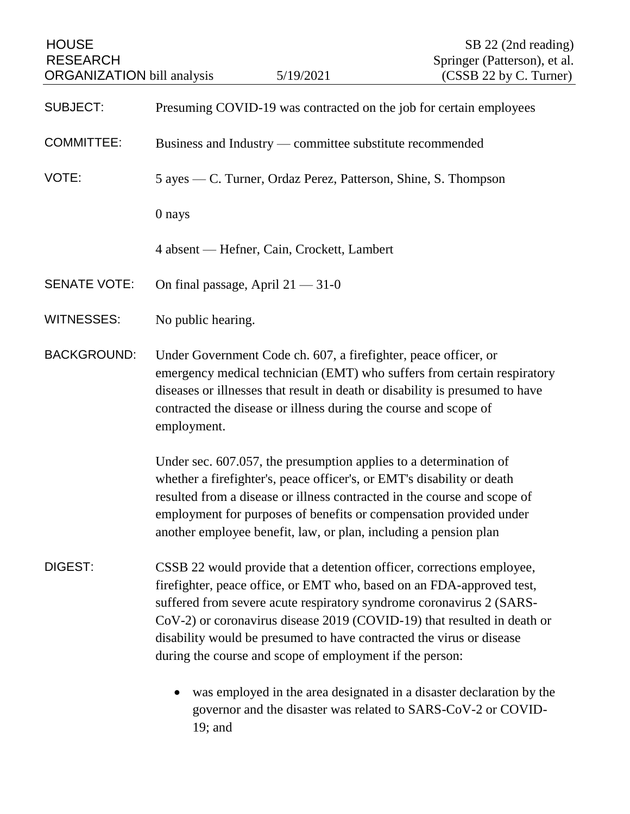| <b>HOUSE</b><br><b>RESEARCH</b><br><b>ORGANIZATION</b> bill analysis |                                                                | 5/19/2021                                                                                                                                                                                                                                                                                                                                                                                                                             | SB 22 (2nd reading)<br>Springer (Patterson), et al.<br>(CSSB 22 by C. Turner) |
|----------------------------------------------------------------------|----------------------------------------------------------------|---------------------------------------------------------------------------------------------------------------------------------------------------------------------------------------------------------------------------------------------------------------------------------------------------------------------------------------------------------------------------------------------------------------------------------------|-------------------------------------------------------------------------------|
| <b>SUBJECT:</b>                                                      |                                                                | Presuming COVID-19 was contracted on the job for certain employees                                                                                                                                                                                                                                                                                                                                                                    |                                                                               |
| <b>COMMITTEE:</b>                                                    | Business and Industry — committee substitute recommended       |                                                                                                                                                                                                                                                                                                                                                                                                                                       |                                                                               |
| VOTE:                                                                | 5 ayes — C. Turner, Ordaz Perez, Patterson, Shine, S. Thompson |                                                                                                                                                                                                                                                                                                                                                                                                                                       |                                                                               |
|                                                                      | 0 nays                                                         |                                                                                                                                                                                                                                                                                                                                                                                                                                       |                                                                               |
|                                                                      |                                                                | 4 absent — Hefner, Cain, Crockett, Lambert                                                                                                                                                                                                                                                                                                                                                                                            |                                                                               |
| <b>SENATE VOTE:</b>                                                  | On final passage, April $21 - 31 - 0$                          |                                                                                                                                                                                                                                                                                                                                                                                                                                       |                                                                               |
| <b>WITNESSES:</b>                                                    | No public hearing.                                             |                                                                                                                                                                                                                                                                                                                                                                                                                                       |                                                                               |
| <b>BACKGROUND:</b>                                                   | employment.                                                    | Under Government Code ch. 607, a firefighter, peace officer, or<br>emergency medical technician (EMT) who suffers from certain respiratory<br>diseases or illnesses that result in death or disability is presumed to have<br>contracted the disease or illness during the course and scope of                                                                                                                                        |                                                                               |
|                                                                      |                                                                | Under sec. 607.057, the presumption applies to a determination of<br>whether a firefighter's, peace officer's, or EMT's disability or death<br>resulted from a disease or illness contracted in the course and scope of<br>employment for purposes of benefits or compensation provided under<br>another employee benefit, law, or plan, including a pension plan                                                                     |                                                                               |
| DIGEST:                                                              |                                                                | CSSB 22 would provide that a detention officer, corrections employee,<br>firefighter, peace office, or EMT who, based on an FDA-approved test,<br>suffered from severe acute respiratory syndrome coronavirus 2 (SARS-<br>CoV-2) or coronavirus disease 2019 (COVID-19) that resulted in death or<br>disability would be presumed to have contracted the virus or disease<br>during the course and scope of employment if the person: |                                                                               |
|                                                                      |                                                                | was employed in the area designated in a disaster declaration by the                                                                                                                                                                                                                                                                                                                                                                  |                                                                               |

governor and the disaster was related to SARS-CoV-2 or COVID-19; and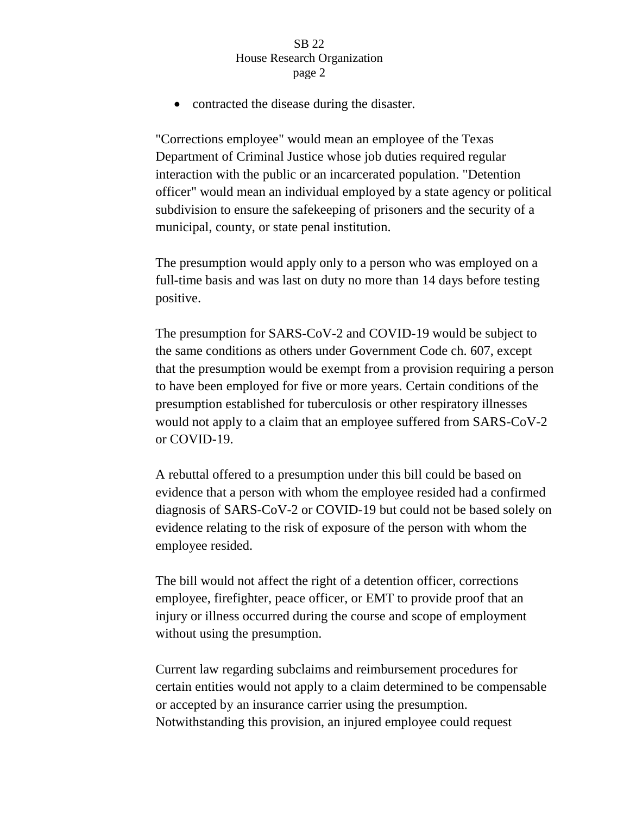• contracted the disease during the disaster.

"Corrections employee" would mean an employee of the Texas Department of Criminal Justice whose job duties required regular interaction with the public or an incarcerated population. "Detention officer" would mean an individual employed by a state agency or political subdivision to ensure the safekeeping of prisoners and the security of a municipal, county, or state penal institution.

The presumption would apply only to a person who was employed on a full-time basis and was last on duty no more than 14 days before testing positive.

The presumption for SARS-CoV-2 and COVID-19 would be subject to the same conditions as others under Government Code ch. 607, except that the presumption would be exempt from a provision requiring a person to have been employed for five or more years. Certain conditions of the presumption established for tuberculosis or other respiratory illnesses would not apply to a claim that an employee suffered from SARS-CoV-2 or COVID-19.

A rebuttal offered to a presumption under this bill could be based on evidence that a person with whom the employee resided had a confirmed diagnosis of SARS-CoV-2 or COVID-19 but could not be based solely on evidence relating to the risk of exposure of the person with whom the employee resided.

The bill would not affect the right of a detention officer, corrections employee, firefighter, peace officer, or EMT to provide proof that an injury or illness occurred during the course and scope of employment without using the presumption.

Current law regarding subclaims and reimbursement procedures for certain entities would not apply to a claim determined to be compensable or accepted by an insurance carrier using the presumption. Notwithstanding this provision, an injured employee could request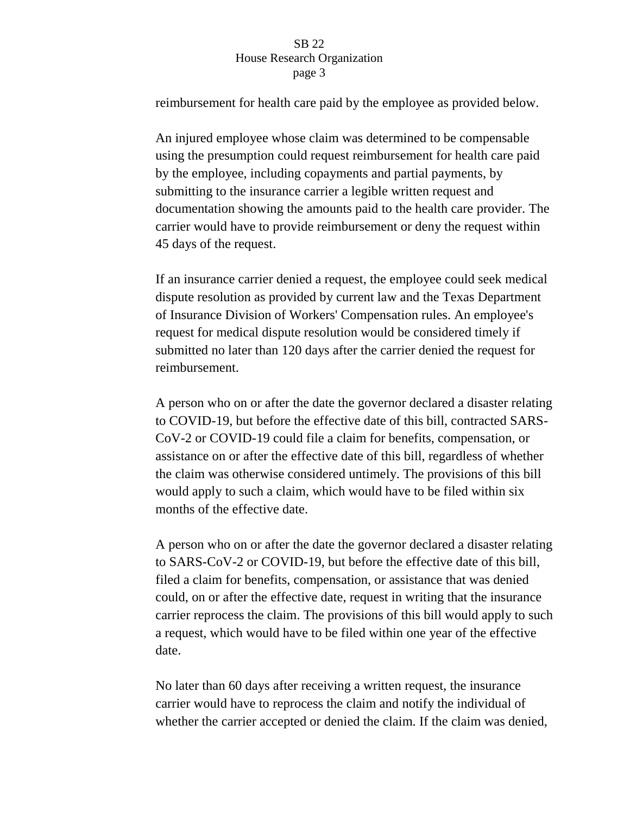reimbursement for health care paid by the employee as provided below.

An injured employee whose claim was determined to be compensable using the presumption could request reimbursement for health care paid by the employee, including copayments and partial payments, by submitting to the insurance carrier a legible written request and documentation showing the amounts paid to the health care provider. The carrier would have to provide reimbursement or deny the request within 45 days of the request.

If an insurance carrier denied a request, the employee could seek medical dispute resolution as provided by current law and the Texas Department of Insurance Division of Workers' Compensation rules. An employee's request for medical dispute resolution would be considered timely if submitted no later than 120 days after the carrier denied the request for reimbursement.

A person who on or after the date the governor declared a disaster relating to COVID-19, but before the effective date of this bill, contracted SARS-CoV-2 or COVID-19 could file a claim for benefits, compensation, or assistance on or after the effective date of this bill, regardless of whether the claim was otherwise considered untimely. The provisions of this bill would apply to such a claim, which would have to be filed within six months of the effective date.

A person who on or after the date the governor declared a disaster relating to SARS-CoV-2 or COVID-19, but before the effective date of this bill, filed a claim for benefits, compensation, or assistance that was denied could, on or after the effective date, request in writing that the insurance carrier reprocess the claim. The provisions of this bill would apply to such a request, which would have to be filed within one year of the effective date.

No later than 60 days after receiving a written request, the insurance carrier would have to reprocess the claim and notify the individual of whether the carrier accepted or denied the claim. If the claim was denied,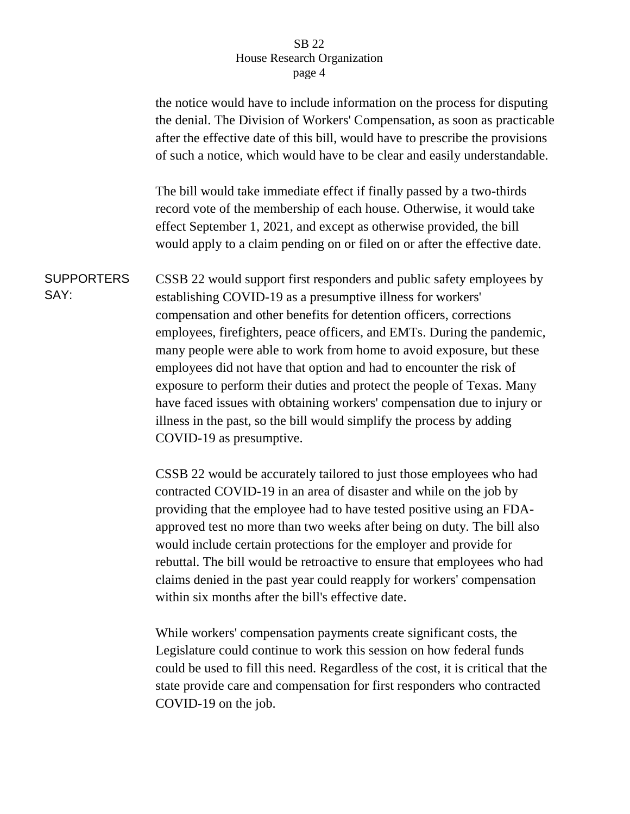|                           | the notice would have to include information on the process for disputing<br>the denial. The Division of Workers' Compensation, as soon as practicable<br>after the effective date of this bill, would have to prescribe the provisions<br>of such a notice, which would have to be clear and easily understandable.                                                                                                                                                                                                                                                                                                                                                                            |
|---------------------------|-------------------------------------------------------------------------------------------------------------------------------------------------------------------------------------------------------------------------------------------------------------------------------------------------------------------------------------------------------------------------------------------------------------------------------------------------------------------------------------------------------------------------------------------------------------------------------------------------------------------------------------------------------------------------------------------------|
|                           | The bill would take immediate effect if finally passed by a two-thirds<br>record vote of the membership of each house. Otherwise, it would take<br>effect September 1, 2021, and except as otherwise provided, the bill<br>would apply to a claim pending on or filed on or after the effective date.                                                                                                                                                                                                                                                                                                                                                                                           |
| <b>SUPPORTERS</b><br>SAY: | CSSB 22 would support first responders and public safety employees by<br>establishing COVID-19 as a presumptive illness for workers'<br>compensation and other benefits for detention officers, corrections<br>employees, firefighters, peace officers, and EMTs. During the pandemic,<br>many people were able to work from home to avoid exposure, but these<br>employees did not have that option and had to encounter the risk of<br>exposure to perform their duties and protect the people of Texas. Many<br>have faced issues with obtaining workers' compensation due to injury or<br>illness in the past, so the bill would simplify the process by adding<br>COVID-19 as presumptive. |
|                           | CSSB 22 would be accurately tailored to just those employees who had<br>contracted COVID-19 in an area of disaster and while on the job by<br>providing that the employee had to have tested positive using an FDA-<br>approved test no more than two weeks after being on duty. The bill also                                                                                                                                                                                                                                                                                                                                                                                                  |

would include certain protections for the employer and provide for rebuttal. The bill would be retroactive to ensure that employees who had claims denied in the past year could reapply for workers' compensation within six months after the bill's effective date.

While workers' compensation payments create significant costs, the Legislature could continue to work this session on how federal funds could be used to fill this need. Regardless of the cost, it is critical that the state provide care and compensation for first responders who contracted COVID-19 on the job.